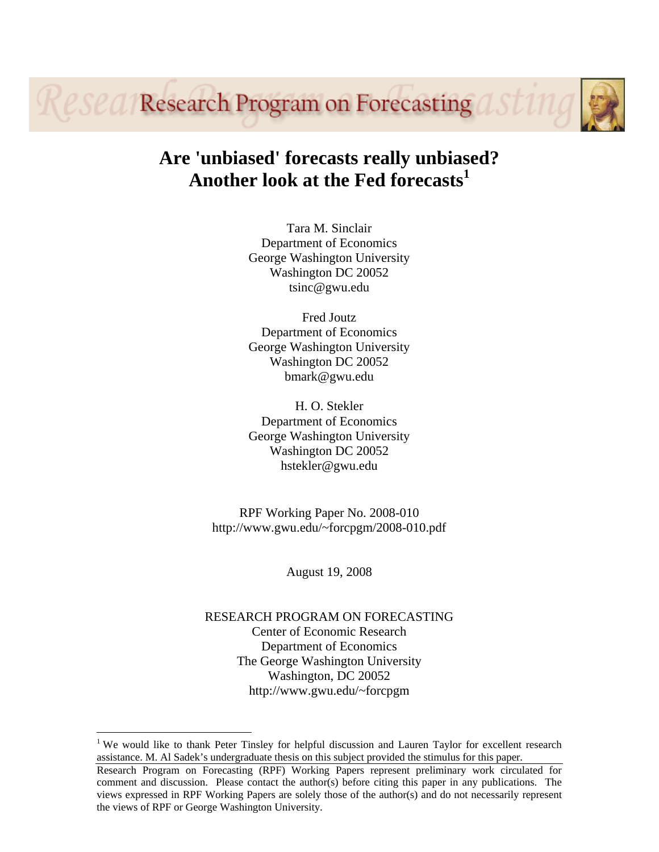*esed/Research Program on Forecasting* 



# **Are 'unbiased' forecasts really unbiased? Another look at the Fed forecasts1**

Tara M. Sinclair Department of Economics George Washington University Washington DC 20052 tsinc@gwu.edu

Fred Joutz Department of Economics George Washington University Washington DC 20052 bmark@gwu.edu

H. O. Stekler Department of Economics George Washington University Washington DC 20052 hstekler@gwu.edu

RPF Working Paper No. 2008-010 http://www.gwu.edu/~forcpgm/2008-010.pdf

August 19, 2008

RESEARCH PROGRAM ON FORECASTING Center of Economic Research Department of Economics The George Washington University Washington, DC 20052 http://www.gwu.edu/~forcpgm

 $\overline{a}$ 

<sup>&</sup>lt;sup>1</sup> We would like to thank Peter Tinsley for helpful discussion and Lauren Taylor for excellent research assistance. M. Al Sadek's undergraduate thesis on this subject provided the stimulus for this paper.

Research Program on Forecasting (RPF) Working Papers represent preliminary work circulated for comment and discussion. Please contact the author(s) before citing this paper in any publications. The views expressed in RPF Working Papers are solely those of the author(s) and do not necessarily represent the views of RPF or George Washington University.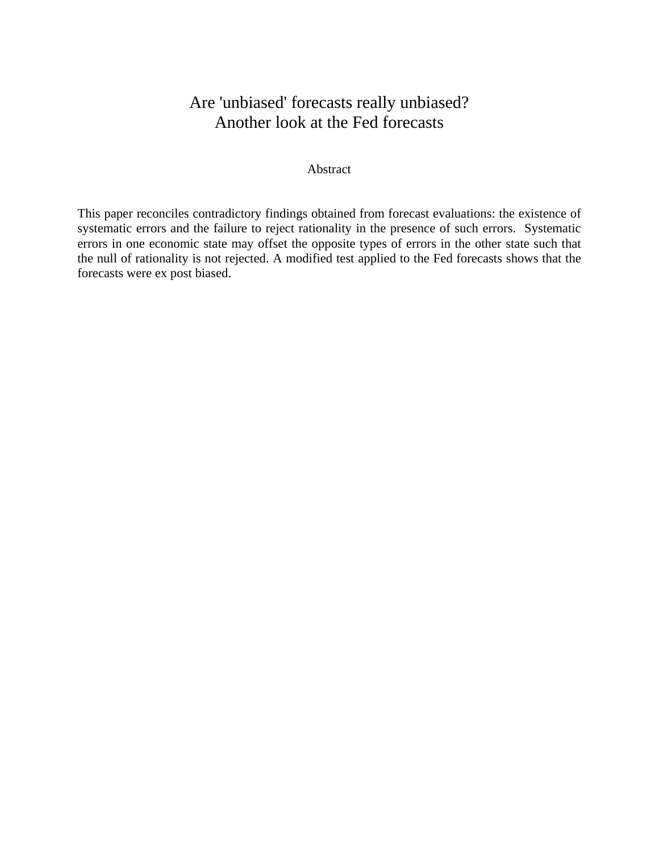## Are 'unbiased' forecasts really unbiased? Another look at the Fed forecasts

### Abstract

This paper reconciles contradictory findings obtained from forecast evaluations: the existence of systematic errors and the failure to reject rationality in the presence of such errors. Systematic errors in one economic state may offset the opposite types of errors in the other state such that the null of rationality is not rejected. A modified test applied to the Fed forecasts shows that the forecasts were ex post biased.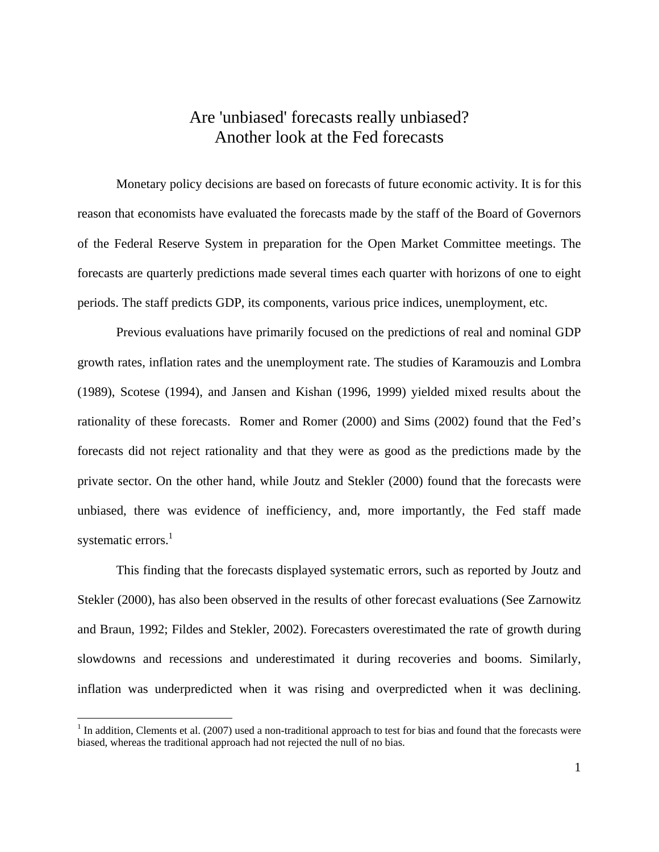### Are 'unbiased' forecasts really unbiased? Another look at the Fed forecasts

 Monetary policy decisions are based on forecasts of future economic activity. It is for this reason that economists have evaluated the forecasts made by the staff of the Board of Governors of the Federal Reserve System in preparation for the Open Market Committee meetings. The forecasts are quarterly predictions made several times each quarter with horizons of one to eight periods. The staff predicts GDP, its components, various price indices, unemployment, etc.

Previous evaluations have primarily focused on the predictions of real and nominal GDP growth rates, inflation rates and the unemployment rate. The studies of Karamouzis and Lombra (1989), Scotese (1994), and Jansen and Kishan (1996, 1999) yielded mixed results about the rationality of these forecasts. Romer and Romer (2000) and Sims (2002) found that the Fed's forecasts did not reject rationality and that they were as good as the predictions made by the private sector. On the other hand, while Joutz and Stekler (2000) found that the forecasts were unbiased, there was evidence of inefficiency, and, more importantly, the Fed staff made systematic errors.<sup>1</sup>

This finding that the forecasts displayed systematic errors, such as reported by Joutz and Stekler (2000), has also been observed in the results of other forecast evaluations (See Zarnowitz and Braun, 1992; Fildes and Stekler, 2002). Forecasters overestimated the rate of growth during slowdowns and recessions and underestimated it during recoveries and booms. Similarly, inflation was underpredicted when it was rising and overpredicted when it was declining.

1

 $<sup>1</sup>$  In addition, Clements et al. (2007) used a non-traditional approach to test for bias and found that the forecasts were</sup> biased, whereas the traditional approach had not rejected the null of no bias.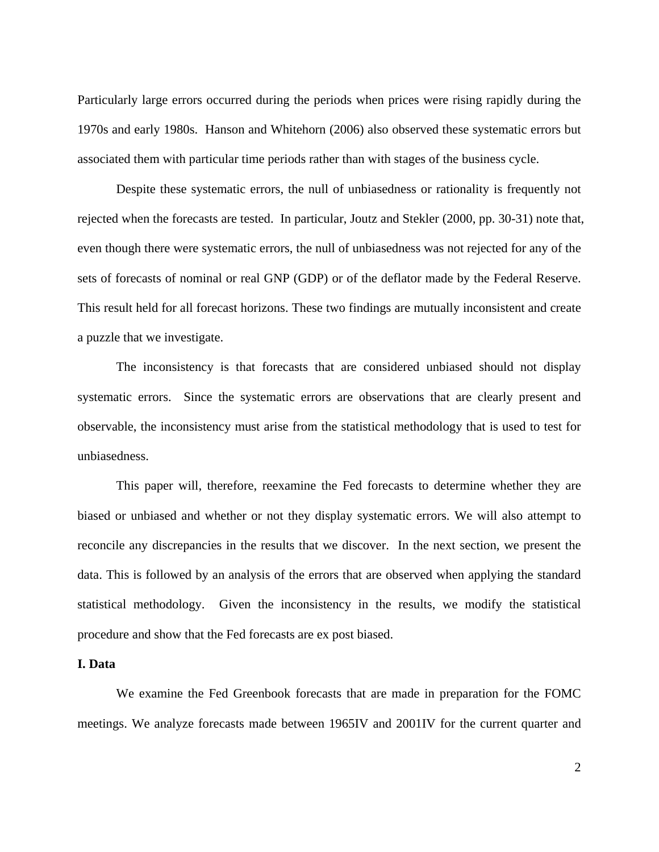Particularly large errors occurred during the periods when prices were rising rapidly during the 1970s and early 1980s. Hanson and Whitehorn (2006) also observed these systematic errors but associated them with particular time periods rather than with stages of the business cycle.

Despite these systematic errors, the null of unbiasedness or rationality is frequently not rejected when the forecasts are tested. In particular, Joutz and Stekler (2000, pp. 30-31) note that, even though there were systematic errors, the null of unbiasedness was not rejected for any of the sets of forecasts of nominal or real GNP (GDP) or of the deflator made by the Federal Reserve. This result held for all forecast horizons. These two findings are mutually inconsistent and create a puzzle that we investigate.

The inconsistency is that forecasts that are considered unbiased should not display systematic errors. Since the systematic errors are observations that are clearly present and observable, the inconsistency must arise from the statistical methodology that is used to test for unbiasedness.

This paper will, therefore, reexamine the Fed forecasts to determine whether they are biased or unbiased and whether or not they display systematic errors. We will also attempt to reconcile any discrepancies in the results that we discover. In the next section, we present the data. This is followed by an analysis of the errors that are observed when applying the standard statistical methodology. Given the inconsistency in the results, we modify the statistical procedure and show that the Fed forecasts are ex post biased.

#### **I. Data**

 We examine the Fed Greenbook forecasts that are made in preparation for the FOMC meetings. We analyze forecasts made between 1965IV and 2001IV for the current quarter and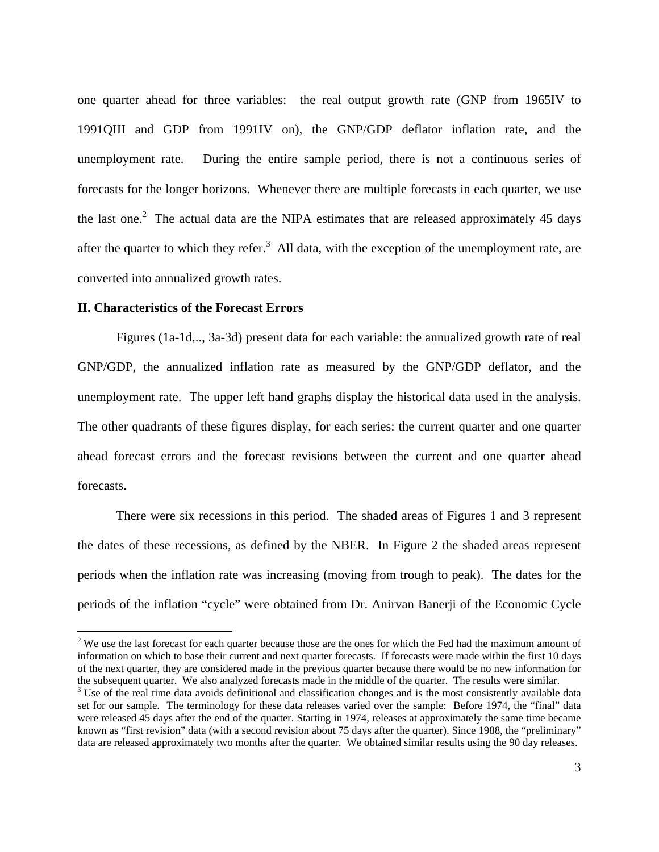one quarter ahead for three variables: the real output growth rate (GNP from 1965IV to 1991QIII and GDP from 1991IV on), the GNP/GDP deflator inflation rate, and the unemployment rate. During the entire sample period, there is not a continuous series of forecasts for the longer horizons. Whenever there are multiple forecasts in each quarter, we use the last one.<sup>2</sup> The actual data are the NIPA estimates that are released approximately 45 days after the quarter to which they refer.<sup>3</sup> All data, with the exception of the unemployment rate, are converted into annualized growth rates.

#### **II. Characteristics of the Forecast Errors**

 $\overline{a}$ 

 Figures (1a-1d,.., 3a-3d) present data for each variable: the annualized growth rate of real GNP/GDP, the annualized inflation rate as measured by the GNP/GDP deflator, and the unemployment rate. The upper left hand graphs display the historical data used in the analysis. The other quadrants of these figures display, for each series: the current quarter and one quarter ahead forecast errors and the forecast revisions between the current and one quarter ahead forecasts.

There were six recessions in this period. The shaded areas of Figures 1 and 3 represent the dates of these recessions, as defined by the NBER. In Figure 2 the shaded areas represent periods when the inflation rate was increasing (moving from trough to peak). The dates for the periods of the inflation "cycle" were obtained from Dr. Anirvan Banerji of the Economic Cycle

 $2^2$  We use the last forecast for each quarter because those are the ones for which the Fed had the maximum amount of information on which to base their current and next quarter forecasts. If forecasts were made within the first 10 days of the next quarter, they are considered made in the previous quarter because there would be no new information for the subsequent quarter. We also analyzed forecasts made in the middle of the quarter. The results were similar.

<sup>&</sup>lt;sup>3</sup> Use of the real time data avoids definitional and classification changes and is the most consistently available data set for our sample. The terminology for these data releases varied over the sample: Before 1974, the "final" data were released 45 days after the end of the quarter. Starting in 1974, releases at approximately the same time became known as "first revision" data (with a second revision about 75 days after the quarter). Since 1988, the "preliminary" data are released approximately two months after the quarter. We obtained similar results using the 90 day releases.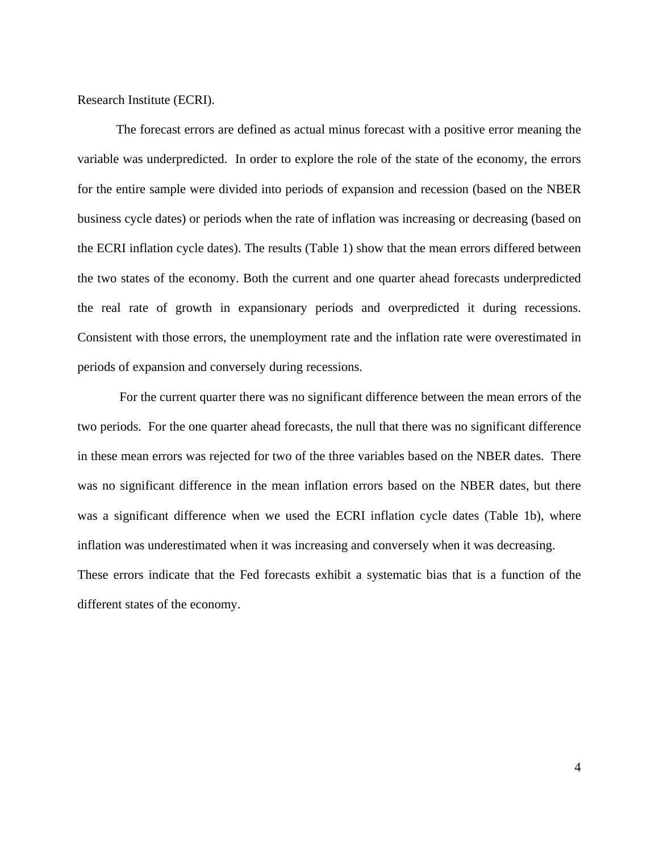Research Institute (ECRI).

 The forecast errors are defined as actual minus forecast with a positive error meaning the variable was underpredicted. In order to explore the role of the state of the economy, the errors for the entire sample were divided into periods of expansion and recession (based on the NBER business cycle dates) or periods when the rate of inflation was increasing or decreasing (based on the ECRI inflation cycle dates). The results (Table 1) show that the mean errors differed between the two states of the economy. Both the current and one quarter ahead forecasts underpredicted the real rate of growth in expansionary periods and overpredicted it during recessions. Consistent with those errors, the unemployment rate and the inflation rate were overestimated in periods of expansion and conversely during recessions.

 For the current quarter there was no significant difference between the mean errors of the two periods. For the one quarter ahead forecasts, the null that there was no significant difference in these mean errors was rejected for two of the three variables based on the NBER dates. There was no significant difference in the mean inflation errors based on the NBER dates, but there was a significant difference when we used the ECRI inflation cycle dates (Table 1b), where inflation was underestimated when it was increasing and conversely when it was decreasing. These errors indicate that the Fed forecasts exhibit a systematic bias that is a function of the different states of the economy.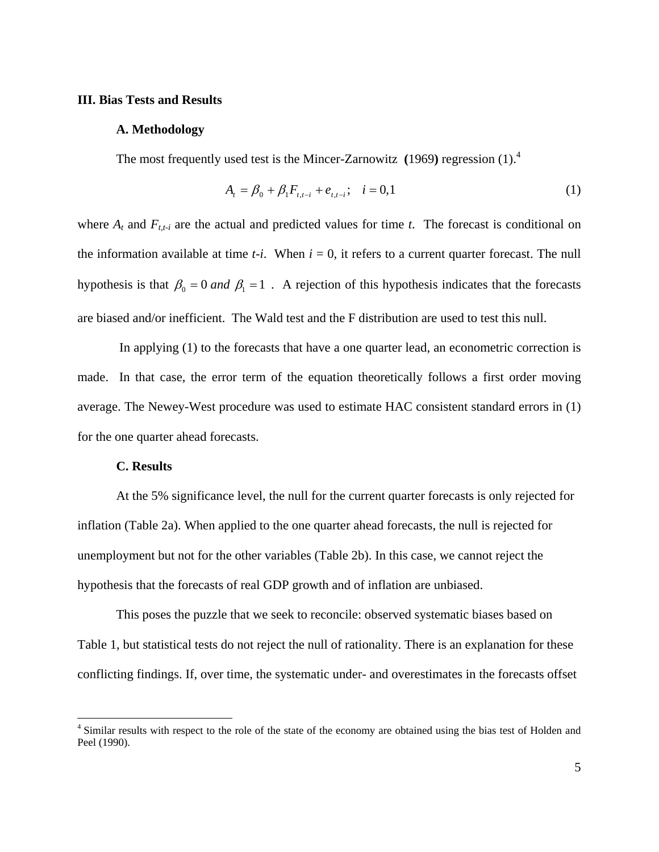#### **III. Bias Tests and Results**

#### **A. Methodology**

The most frequently used test is the Mincer-Zarnowitz **(**1969**)** regression (1).4

$$
A_{t} = \beta_{0} + \beta_{1} F_{t, t-i} + e_{t, t-i}; \quad i = 0, 1
$$
 (1)

where  $A_t$  and  $F_{t,t-i}$  are the actual and predicted values for time *t*. The forecast is conditional on the information available at time  $t-i$ . When  $i = 0$ , it refers to a current quarter forecast. The null hypothesis is that  $\beta_0 = 0$  *and*  $\beta_1 = 1$ . A rejection of this hypothesis indicates that the forecasts are biased and/or inefficient. The Wald test and the F distribution are used to test this null.

 In applying (1) to the forecasts that have a one quarter lead, an econometric correction is made. In that case, the error term of the equation theoretically follows a first order moving average. The Newey-West procedure was used to estimate HAC consistent standard errors in (1) for the one quarter ahead forecasts.

#### **C. Results**

 $\overline{a}$ 

 At the 5% significance level, the null for the current quarter forecasts is only rejected for inflation (Table 2a). When applied to the one quarter ahead forecasts, the null is rejected for unemployment but not for the other variables (Table 2b). In this case, we cannot reject the hypothesis that the forecasts of real GDP growth and of inflation are unbiased.

This poses the puzzle that we seek to reconcile: observed systematic biases based on Table 1, but statistical tests do not reject the null of rationality. There is an explanation for these conflicting findings. If, over time, the systematic under- and overestimates in the forecasts offset

<sup>&</sup>lt;sup>4</sup> Similar results with respect to the role of the state of the economy are obtained using the bias test of Holden and Peel (1990).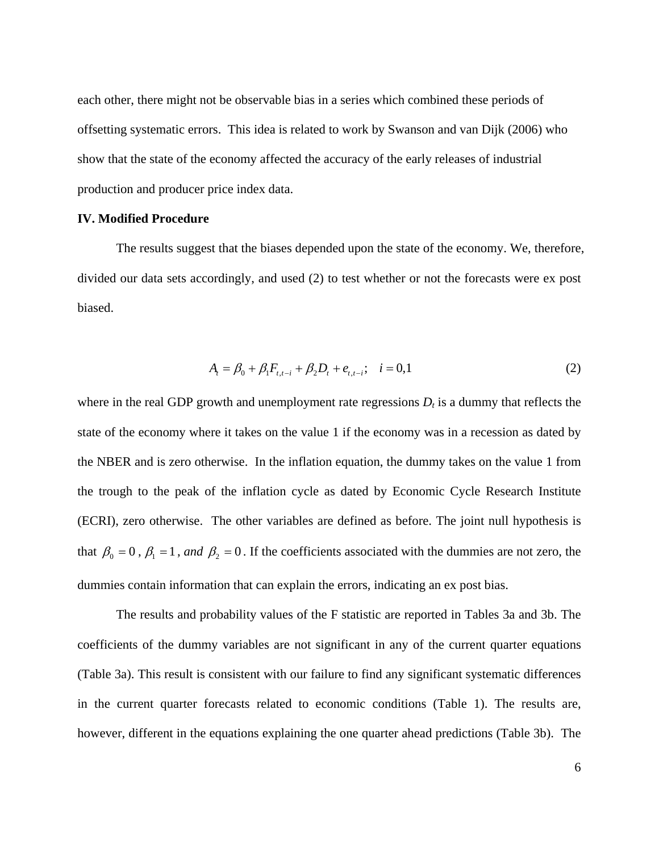each other, there might not be observable bias in a series which combined these periods of offsetting systematic errors. This idea is related to work by Swanson and van Dijk (2006) who show that the state of the economy affected the accuracy of the early releases of industrial production and producer price index data.

#### **IV. Modified Procedure**

The results suggest that the biases depended upon the state of the economy. We, therefore, divided our data sets accordingly, and used (2) to test whether or not the forecasts were ex post biased.

$$
A_{t} = \beta_{0} + \beta_{1} F_{t,t-i} + \beta_{2} D_{t} + e_{t,t-i}; \quad i = 0,1
$$
\n(2)

where in the real GDP growth and unemployment rate regressions  $D_t$  is a dummy that reflects the state of the economy where it takes on the value 1 if the economy was in a recession as dated by the NBER and is zero otherwise. In the inflation equation, the dummy takes on the value 1 from the trough to the peak of the inflation cycle as dated by Economic Cycle Research Institute (ECRI), zero otherwise. The other variables are defined as before. The joint null hypothesis is that  $\beta_0 = 0$ ,  $\beta_1 = 1$ , and  $\beta_2 = 0$ . If the coefficients associated with the dummies are not zero, the dummies contain information that can explain the errors, indicating an ex post bias.

The results and probability values of the F statistic are reported in Tables 3a and 3b. The coefficients of the dummy variables are not significant in any of the current quarter equations (Table 3a). This result is consistent with our failure to find any significant systematic differences in the current quarter forecasts related to economic conditions (Table 1). The results are, however, different in the equations explaining the one quarter ahead predictions (Table 3b). The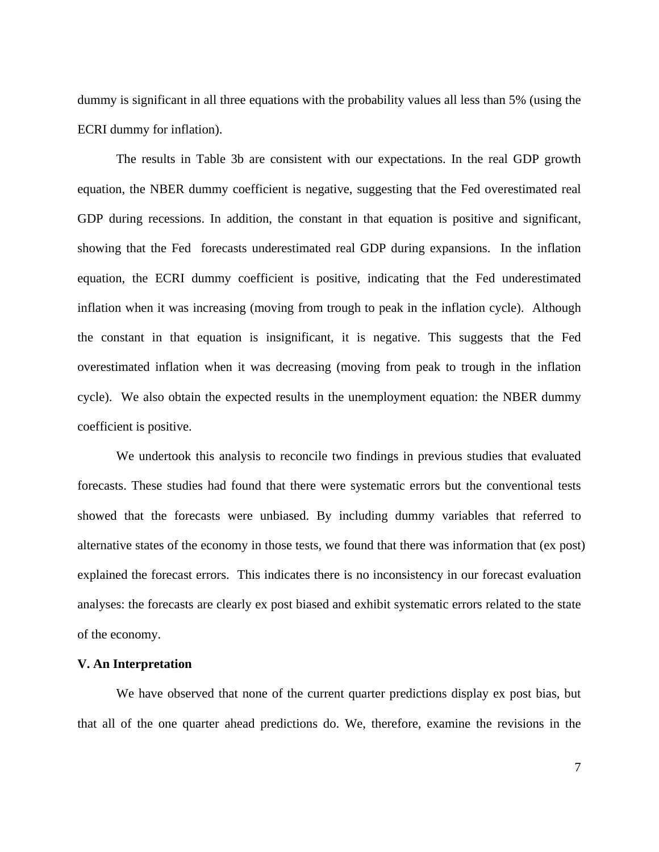dummy is significant in all three equations with the probability values all less than 5% (using the ECRI dummy for inflation).

The results in Table 3b are consistent with our expectations. In the real GDP growth equation, the NBER dummy coefficient is negative, suggesting that the Fed overestimated real GDP during recessions. In addition, the constant in that equation is positive and significant, showing that the Fed forecasts underestimated real GDP during expansions. In the inflation equation, the ECRI dummy coefficient is positive, indicating that the Fed underestimated inflation when it was increasing (moving from trough to peak in the inflation cycle). Although the constant in that equation is insignificant, it is negative. This suggests that the Fed overestimated inflation when it was decreasing (moving from peak to trough in the inflation cycle). We also obtain the expected results in the unemployment equation: the NBER dummy coefficient is positive.

We undertook this analysis to reconcile two findings in previous studies that evaluated forecasts. These studies had found that there were systematic errors but the conventional tests showed that the forecasts were unbiased. By including dummy variables that referred to alternative states of the economy in those tests, we found that there was information that (ex post) explained the forecast errors. This indicates there is no inconsistency in our forecast evaluation analyses: the forecasts are clearly ex post biased and exhibit systematic errors related to the state of the economy.

#### **V. An Interpretation**

We have observed that none of the current quarter predictions display ex post bias, but that all of the one quarter ahead predictions do. We, therefore, examine the revisions in the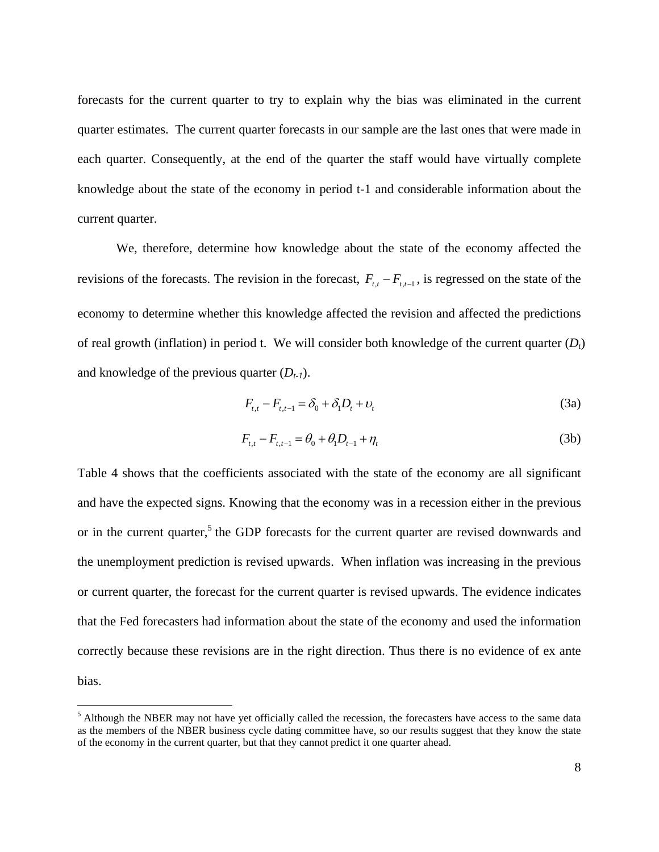forecasts for the current quarter to try to explain why the bias was eliminated in the current quarter estimates. The current quarter forecasts in our sample are the last ones that were made in each quarter. Consequently, at the end of the quarter the staff would have virtually complete knowledge about the state of the economy in period t-1 and considerable information about the current quarter.

We, therefore, determine how knowledge about the state of the economy affected the revisions of the forecasts. The revision in the forecast,  $F_{t,t} - F_{t,t-1}$ , is regressed on the state of the economy to determine whether this knowledge affected the revision and affected the predictions of real growth (inflation) in period t. We will consider both knowledge of the current quarter  $(D<sub>t</sub>)$ and knowledge of the previous quarter  $(D_{t-1})$ .

$$
F_{t,t} - F_{t,t-1} = \delta_0 + \delta_1 D_t + \nu_t
$$
\n(3a)

$$
F_{t,t} - F_{t,t-1} = \theta_0 + \theta_1 D_{t-1} + \eta_t
$$
\n(3b)

Table 4 shows that the coefficients associated with the state of the economy are all significant and have the expected signs. Knowing that the economy was in a recession either in the previous or in the current quarter,<sup>5</sup> the GDP forecasts for the current quarter are revised downwards and the unemployment prediction is revised upwards. When inflation was increasing in the previous or current quarter, the forecast for the current quarter is revised upwards. The evidence indicates that the Fed forecasters had information about the state of the economy and used the information correctly because these revisions are in the right direction. Thus there is no evidence of ex ante bias.

 $\overline{a}$ 

<sup>&</sup>lt;sup>5</sup> Although the NBER may not have yet officially called the recession, the forecasters have access to the same data as the members of the NBER business cycle dating committee have, so our results suggest that they know the state of the economy in the current quarter, but that they cannot predict it one quarter ahead.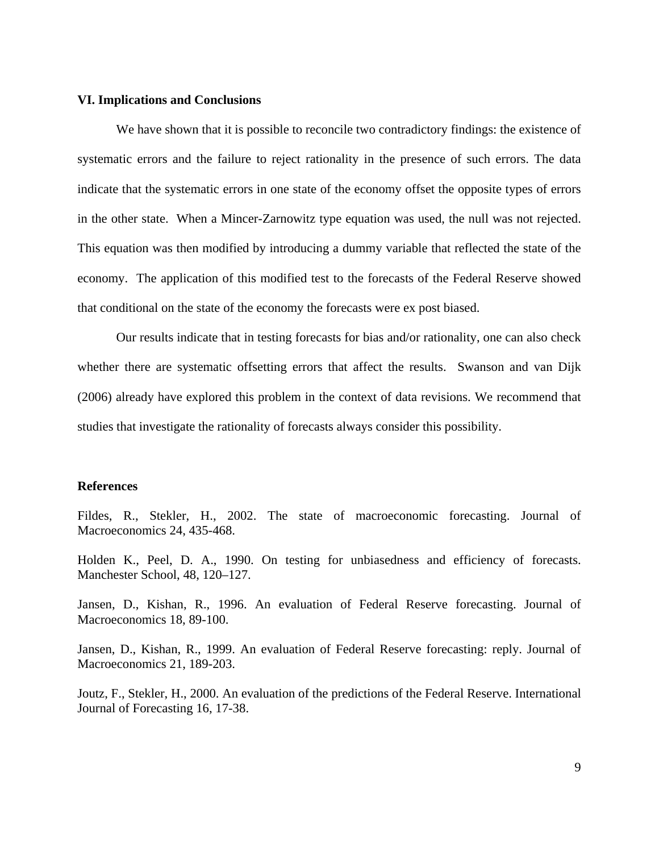#### **VI. Implications and Conclusions**

 We have shown that it is possible to reconcile two contradictory findings: the existence of systematic errors and the failure to reject rationality in the presence of such errors. The data indicate that the systematic errors in one state of the economy offset the opposite types of errors in the other state. When a Mincer-Zarnowitz type equation was used, the null was not rejected. This equation was then modified by introducing a dummy variable that reflected the state of the economy. The application of this modified test to the forecasts of the Federal Reserve showed that conditional on the state of the economy the forecasts were ex post biased.

 Our results indicate that in testing forecasts for bias and/or rationality, one can also check whether there are systematic offsetting errors that affect the results. Swanson and van Dijk (2006) already have explored this problem in the context of data revisions. We recommend that studies that investigate the rationality of forecasts always consider this possibility.

#### **References**

Fildes, R., Stekler, H., 2002. The state of macroeconomic forecasting. Journal of Macroeconomics 24, 435-468.

Holden K., Peel, D. A., 1990. On testing for unbiasedness and efficiency of forecasts. Manchester School, 48, 120–127.

Jansen, D., Kishan, R., 1996. An evaluation of Federal Reserve forecasting. Journal of Macroeconomics 18, 89-100.

Jansen, D., Kishan, R., 1999. An evaluation of Federal Reserve forecasting: reply. Journal of Macroeconomics 21, 189-203.

Joutz, F., Stekler, H., 2000. An evaluation of the predictions of the Federal Reserve. International Journal of Forecasting 16, 17-38.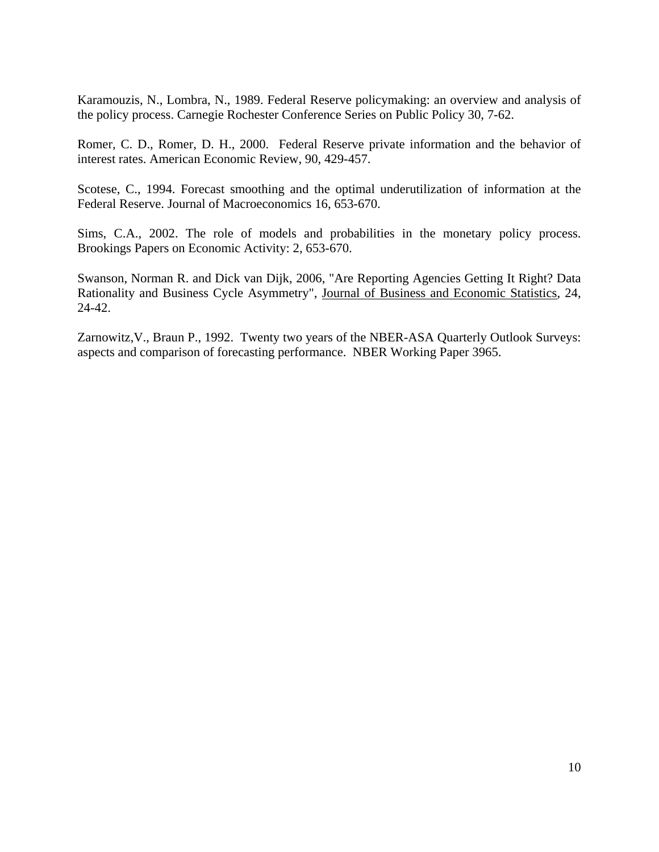Karamouzis, N., Lombra, N., 1989. Federal Reserve policymaking: an overview and analysis of the policy process. Carnegie Rochester Conference Series on Public Policy 30, 7-62.

Romer, C. D., Romer, D. H., 2000. Federal Reserve private information and the behavior of interest rates. American Economic Review, 90, 429-457.

Scotese, C., 1994. Forecast smoothing and the optimal underutilization of information at the Federal Reserve. Journal of Macroeconomics 16, 653-670.

Sims, C.A., 2002. The role of models and probabilities in the monetary policy process. Brookings Papers on Economic Activity: 2, 653-670.

Swanson, Norman R. and Dick van Dijk, 2006, "Are Reporting Agencies Getting It Right? Data Rationality and Business Cycle Asymmetry", Journal of Business and Economic Statistics, 24, 24-42.

Zarnowitz,V., Braun P., 1992. Twenty two years of the NBER-ASA Quarterly Outlook Surveys: aspects and comparison of forecasting performance. NBER Working Paper 3965.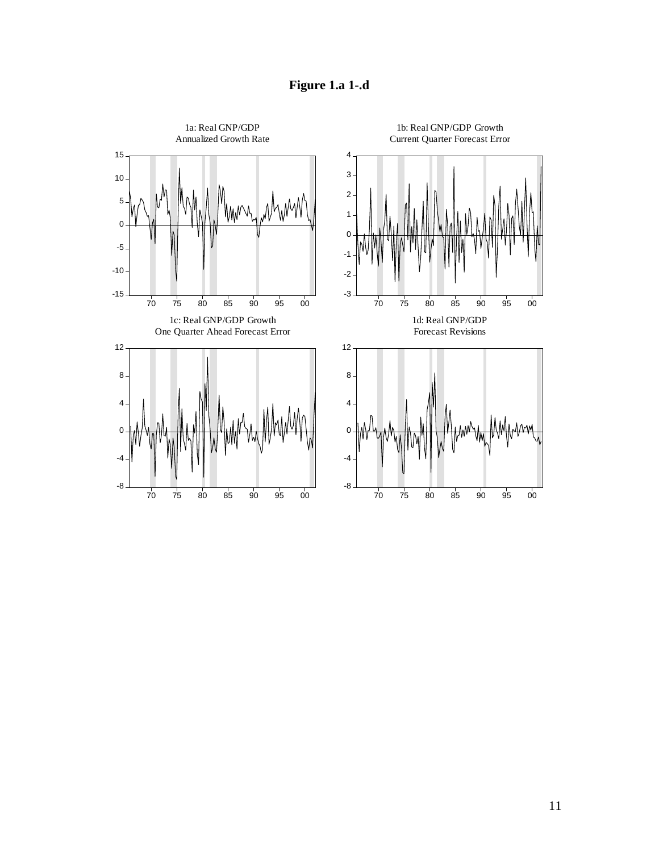

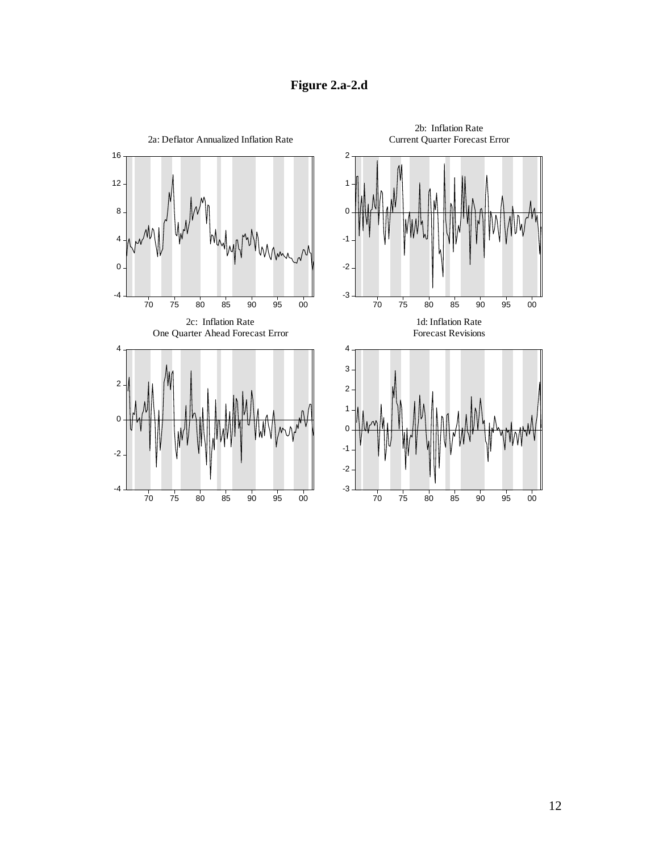**Figure 2.a-2.d** 

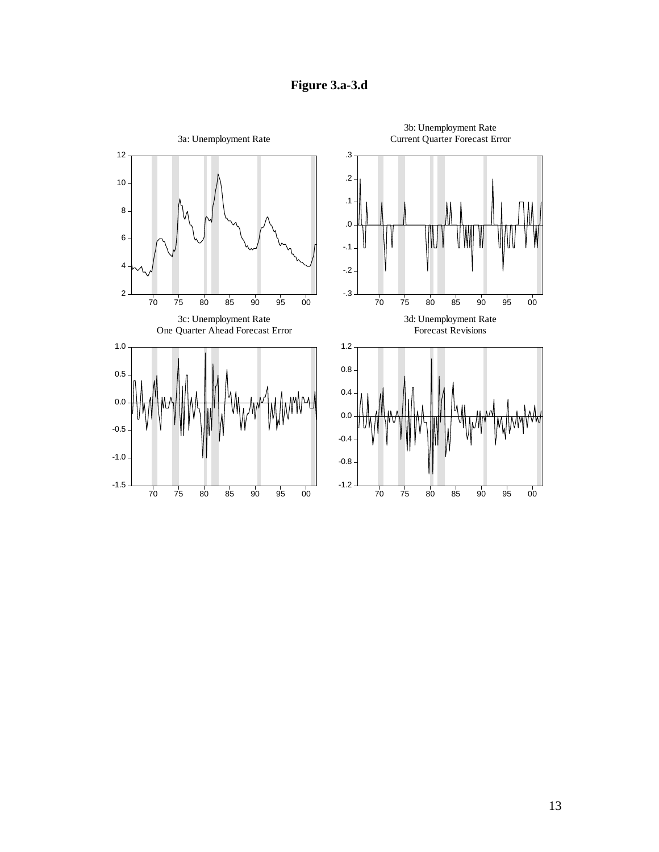

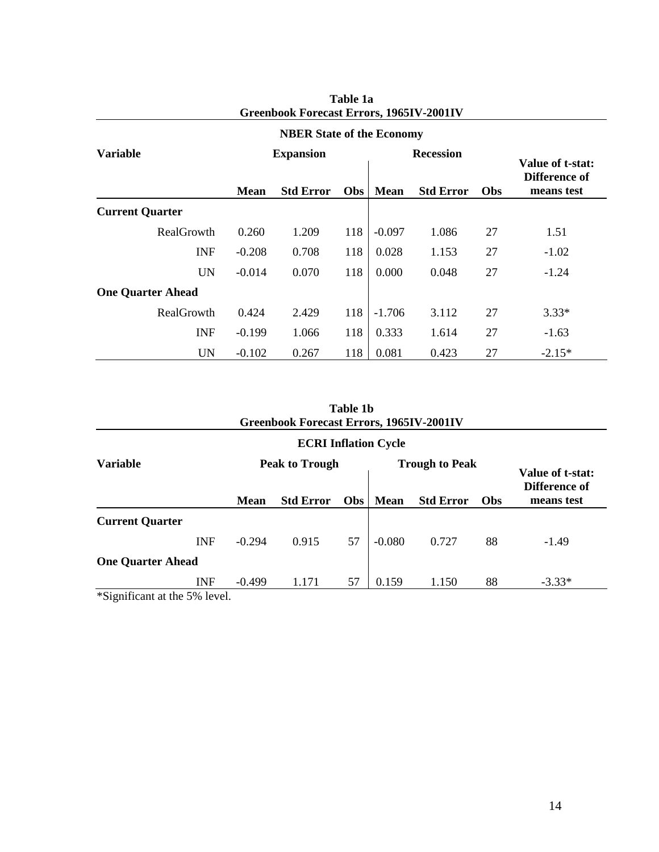| <b>Variable</b>          | <b>Recession</b><br><b>Expansion</b> |                  |            |          | Value of t-stat:<br>Difference of |     |            |
|--------------------------|--------------------------------------|------------------|------------|----------|-----------------------------------|-----|------------|
|                          | <b>Mean</b>                          | <b>Std Error</b> | <b>Obs</b> | Mean     | <b>Std Error</b>                  | Obs | means test |
| <b>Current Quarter</b>   |                                      |                  |            |          |                                   |     |            |
| RealGrowth               | 0.260                                | 1.209            | 118        | $-0.097$ | 1.086                             | 27  | 1.51       |
| <b>INF</b>               | $-0.208$                             | 0.708            | 118        | 0.028    | 1.153                             | 27  | $-1.02$    |
| <b>UN</b>                | $-0.014$                             | 0.070            | 118        | 0.000    | 0.048                             | 27  | $-1.24$    |
| <b>One Quarter Ahead</b> |                                      |                  |            |          |                                   |     |            |
| RealGrowth               | 0.424                                | 2.429            | 118        | $-1.706$ | 3.112                             | 27  | $3.33*$    |
| <b>INF</b>               | $-0.199$                             | 1.066            | 118        | 0.333    | 1.614                             | 27  | $-1.63$    |
| <b>UN</b>                | $-0.102$                             | 0.267            | 118        | 0.081    | 0.423                             | 27  | $-2.15*$   |

| Table 1a                                 |
|------------------------------------------|
| Greenbook Forecast Errors, 1965IV-2001IV |

| Table 1b                                        |
|-------------------------------------------------|
| <b>Greenbook Forecast Errors, 1965IV-2001IV</b> |

| <b>ECRI Inflation Cycle</b> |                       |             |                  |                       |             |                  |                                   |            |
|-----------------------------|-----------------------|-------------|------------------|-----------------------|-------------|------------------|-----------------------------------|------------|
| <b>Variable</b>             | <b>Peak to Trough</b> |             |                  | <b>Trough to Peak</b> |             |                  | Value of t-stat:<br>Difference of |            |
|                             |                       | <b>Mean</b> | <b>Std Error</b> | <b>Obs</b>            | <b>Mean</b> | <b>Std Error</b> | <b>Obs</b>                        | means test |
| <b>Current Quarter</b>      |                       |             |                  |                       |             |                  |                                   |            |
|                             | <b>INF</b>            | $-0.294$    | 0.915            | 57                    | $-0.080$    | 0.727            | 88                                | $-1.49$    |
| <b>One Quarter Ahead</b>    |                       |             |                  |                       |             |                  |                                   |            |
|                             | <b>INF</b>            | $-0.499$    | 1.171            | 57                    | 0.159       | 1.150            | 88                                | $-3.33*$   |
| $*0!!0!1!$                  |                       |             |                  |                       |             |                  |                                   |            |

\*Significant at the 5% level.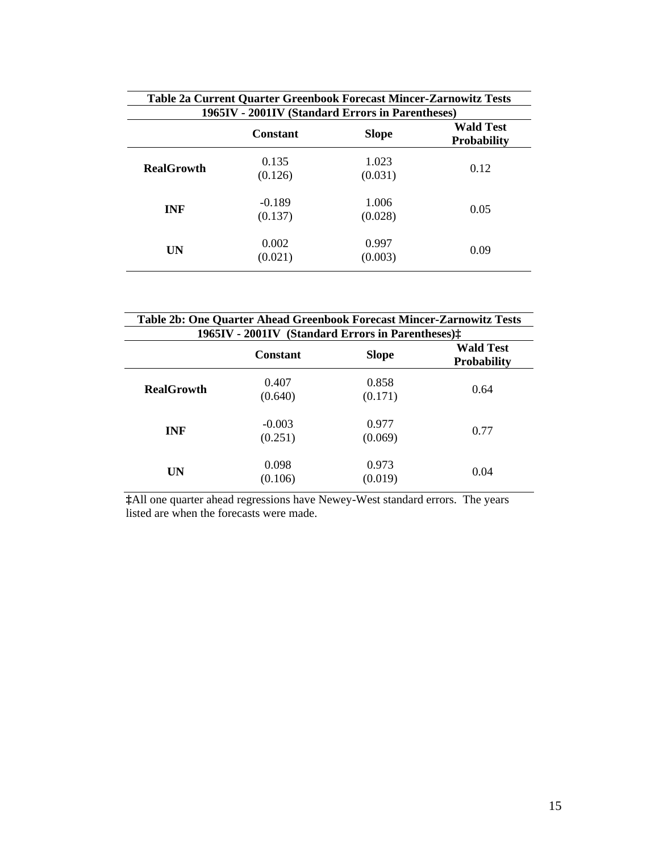| Table 2a Current Quarter Greenbook Forecast Mincer-Zarnowitz Tests |                                                  |                  |                                        |  |  |  |  |
|--------------------------------------------------------------------|--------------------------------------------------|------------------|----------------------------------------|--|--|--|--|
|                                                                    | 1965IV - 2001IV (Standard Errors in Parentheses) |                  |                                        |  |  |  |  |
|                                                                    | <b>Constant</b>                                  | <b>Slope</b>     | <b>Wald Test</b><br><b>Probability</b> |  |  |  |  |
| <b>RealGrowth</b>                                                  | 0.135<br>(0.126)                                 | 1.023<br>(0.031) | 0.12                                   |  |  |  |  |
| <b>INF</b>                                                         | $-0.189$<br>(0.137)                              | 1.006<br>(0.028) | 0.05                                   |  |  |  |  |
| UN                                                                 | 0.002<br>(0.021)                                 | 0.997<br>(0.003) | 0.09                                   |  |  |  |  |

| Table 2b: One Quarter Ahead Greenbook Forecast Mincer-Zarnowitz Tests |                     |                  |                                        |  |  |  |  |
|-----------------------------------------------------------------------|---------------------|------------------|----------------------------------------|--|--|--|--|
| 1965IV - 2001IV (Standard Errors in Parentheses):                     |                     |                  |                                        |  |  |  |  |
|                                                                       | <b>Constant</b>     | <b>Slope</b>     | <b>Wald Test</b><br><b>Probability</b> |  |  |  |  |
| <b>RealGrowth</b>                                                     | 0.407<br>(0.640)    | 0.858<br>(0.171) | 0.64                                   |  |  |  |  |
| <b>INF</b>                                                            | $-0.003$<br>(0.251) | 0.977<br>(0.069) | 0.77                                   |  |  |  |  |
| UN                                                                    | 0.098<br>(0.106)    | 0.973<br>(0.019) | 0.04                                   |  |  |  |  |

**‡**All one quarter ahead regressions have Newey-West standard errors. The years listed are when the forecasts were made.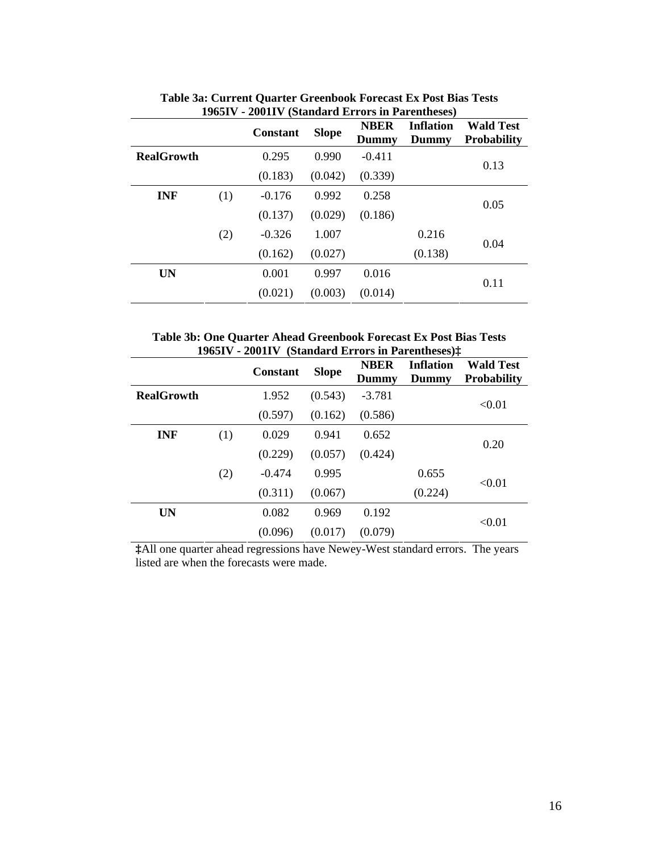|                   |     | <b>Constant</b> | <b>Slope</b> | <b>NBER</b><br>Dummy | <b>Inflation</b><br>Dummy | <b>Wald Test</b><br><b>Probability</b> |  |
|-------------------|-----|-----------------|--------------|----------------------|---------------------------|----------------------------------------|--|
| <b>RealGrowth</b> |     | 0.295           | 0.990        | $-0.411$             |                           |                                        |  |
|                   |     | (0.183)         | (0.042)      | (0.339)              |                           | 0.13                                   |  |
| <b>INF</b>        | (1) | $-0.176$        | 0.992        | 0.258                |                           | 0.05                                   |  |
|                   |     | (0.137)         | (0.029)      | (0.186)              |                           |                                        |  |
|                   | (2) | $-0.326$        | 1.007        |                      | 0.216                     | 0.04                                   |  |
|                   |     | (0.162)         | (0.027)      |                      | (0.138)                   |                                        |  |
| <b>UN</b>         |     | 0.001           | 0.997        | 0.016                |                           |                                        |  |
|                   |     | (0.021)         | (0.003)      | (0.014)              |                           | 0.11                                   |  |

**Table 3a: Current Quarter Greenbook Forecast Ex Post Bias Tests 1965IV - 2001IV (Standard Errors in Parentheses)** 

**Table 3b: One Quarter Ahead Greenbook Forecast Ex Post Bias Tests 1965IV - 2001IV (Standard Errors in Parentheses)‡** 

| $12031v - 20011v$ (standard Errors in Farentheses). |     |                 |              |                      |                    |                                        |  |
|-----------------------------------------------------|-----|-----------------|--------------|----------------------|--------------------|----------------------------------------|--|
|                                                     |     | <b>Constant</b> | <b>Slope</b> | <b>NBER</b><br>Dummy | Inflation<br>Dummy | <b>Wald Test</b><br><b>Probability</b> |  |
| <b>RealGrowth</b>                                   |     | 1.952           | (0.543)      | $-3.781$             |                    |                                        |  |
|                                                     |     | (0.597)         | (0.162)      | (0.586)              |                    | < 0.01                                 |  |
| <b>INF</b>                                          | (1) | 0.029           | 0.941        | 0.652                |                    | 0.20                                   |  |
|                                                     |     | (0.229)         | (0.057)      | (0.424)              |                    |                                        |  |
|                                                     | (2) | $-0.474$        | 0.995        |                      | 0.655              |                                        |  |
|                                                     |     | (0.311)         | (0.067)      |                      | (0.224)            | < 0.01                                 |  |
| <b>UN</b>                                           |     | 0.082           | 0.969        | 0.192                |                    | < 0.01                                 |  |
|                                                     |     | (0.096)         | (0.017)      | (0.079)              |                    |                                        |  |

**‡**All one quarter ahead regressions have Newey-West standard errors. The years listed are when the forecasts were made.